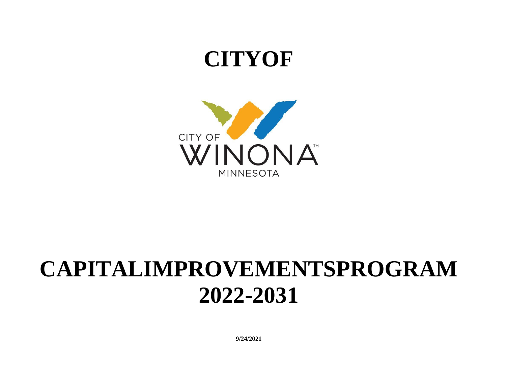## **CITYOF**



# **CAPITALIMPROVEMENTSPROGRAM 2022-2031**

**9/24/2021**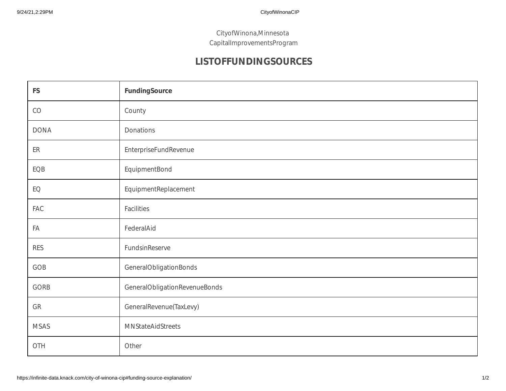CityofWinona,Minnesota CapitalImprovementsProgram

## **LISTOFFUNDINGSOURCES**

| <b>FS</b>   | FundingSource                 |
|-------------|-------------------------------|
| $\rm CO$    | County                        |
| <b>DONA</b> | Donations                     |
| ER          | <b>EnterpriseFundRevenue</b>  |
| EQB         | EquipmentBond                 |
| EQ          | EquipmentReplacement          |
| FAC         | Facilities                    |
| FA          | FederalAid                    |
| <b>RES</b>  | FundsinReserve                |
| GOB         | GeneralObligationBonds        |
| GORB        | GeneralObligationRevenueBonds |
| GR          | GeneralRevenue(TaxLevy)       |
| <b>MSAS</b> | MNStateAidStreets             |
| OTH         | Other                         |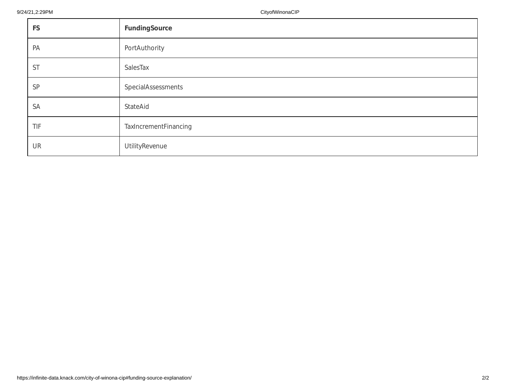| <b>FS</b> | FundingSource         |
|-----------|-----------------------|
| PA        | PortAuthority         |
| ST        | SalesTax              |
| SP        | SpecialAssessments    |
| <b>SA</b> | StateAid              |
| TIF       | TaxIncrementFinancing |
| UR        | UtilityRevenue        |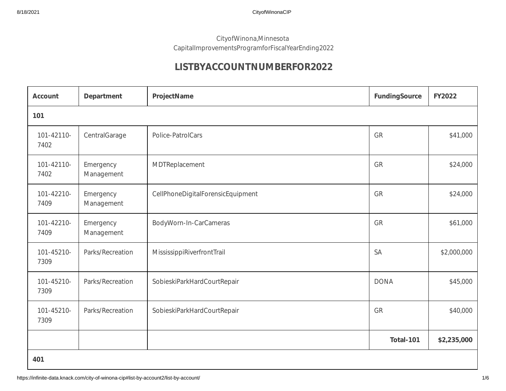## CityofWinona,Minnesota CapitalImprovementsProgramforFiscalYearEnding2022

## **LISTBYACCOUNTNUMBERFOR2022**

| <b>Account</b>     | Department              | ProjectName                       | FundingSource | <b>FY2022</b> |
|--------------------|-------------------------|-----------------------------------|---------------|---------------|
| 101                |                         |                                   |               |               |
| 101-42110-<br>7402 | CentralGarage           | Police-PatrolCars                 | GR            | \$41,000      |
| 101-42110-<br>7402 | Emergency<br>Management | MDTReplacement                    | GR            | \$24,000      |
| 101-42210-<br>7409 | Emergency<br>Management | CellPhoneDigitalForensicEquipment | GR            | \$24,000      |
| 101-42210-<br>7409 | Emergency<br>Management | BodyWorn-In-CarCameras            | GR            | \$61,000      |
| 101-45210-<br>7309 | Parks/Recreation        | MississippiRiverfrontTrail        | <b>SA</b>     | \$2,000,000   |
| 101-45210-<br>7309 | Parks/Recreation        | SobieskiParkHardCourtRepair       | <b>DONA</b>   | \$45,000      |
| 101-45210-<br>7309 | Parks/Recreation        | SobieskiParkHardCourtRepair       | GR            | \$40,000      |
|                    |                         |                                   | Total-101     | \$2,235,000   |
| 401                |                         |                                   |               |               |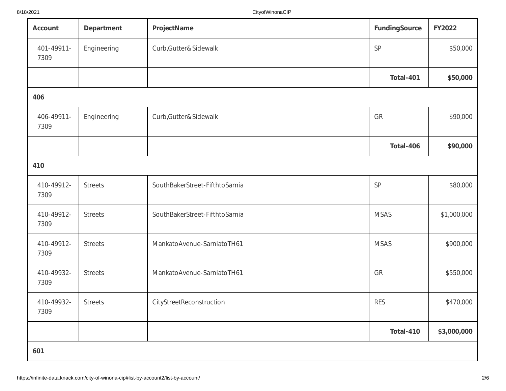| Account            | Department     | ProjectName                    | FundingSource | <b>FY2022</b> |
|--------------------|----------------|--------------------------------|---------------|---------------|
| 401-49911-<br>7309 | Engineering    | Curb, Gutter&Sidewalk          | SP            | \$50,000      |
|                    |                |                                | Total-401     | \$50,000      |
| 406                |                |                                |               |               |
| 406-49911-<br>7309 | Engineering    | Curb, Gutter&Sidewalk          | GR            | \$90,000      |
|                    |                |                                | Total-406     | \$90,000      |
| 410                |                |                                |               |               |
| 410-49912-<br>7309 | <b>Streets</b> | SouthBakerStreet-FifthtoSarnia | SP            | \$80,000      |
| 410-49912-<br>7309 | <b>Streets</b> | SouthBakerStreet-FifthtoSarnia | <b>MSAS</b>   | \$1,000,000   |
| 410-49912-<br>7309 | <b>Streets</b> | MankatoAvenue-SarniatoTH61     | <b>MSAS</b>   | \$900,000     |
| 410-49932-<br>7309 | <b>Streets</b> | MankatoAvenue-SarniatoTH61     | GR            | \$550,000     |
| 410-49932-<br>7309 | <b>Streets</b> | CityStreetReconstruction       | <b>RES</b>    | \$470,000     |
|                    |                |                                | Total-410     | \$3,000,000   |
| 601                |                |                                |               |               |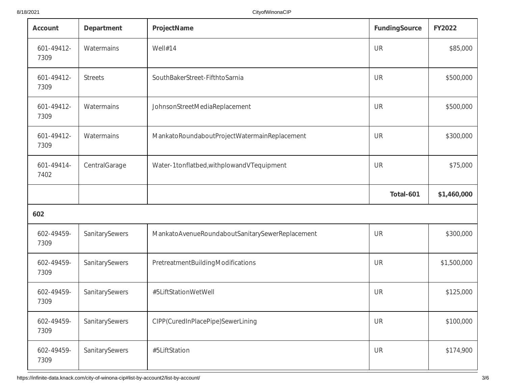| Account            | Department     | ProjectName                                     | <b>FundingSource</b> | <b>FY2022</b> |
|--------------------|----------------|-------------------------------------------------|----------------------|---------------|
| 601-49412-<br>7309 | Watermains     | Well#14                                         | UR                   | \$85,000      |
| 601-49412-<br>7309 | <b>Streets</b> | SouthBakerStreet-FifthtoSarnia                  | UR                   | \$500,000     |
| 601-49412-<br>7309 | Watermains     | JohnsonStreetMediaReplacement                   | UR                   | \$500,000     |
| 601-49412-<br>7309 | Watermains     | MankatoRoundaboutProjectWatermainReplacement    | UR                   | \$300,000     |
| 601-49414-<br>7402 | CentralGarage  | Water-1tonflatbed, with plowand VT equipment    | UR                   | \$75,000      |
|                    |                |                                                 | Total-601            | \$1,460,000   |
| 602                |                |                                                 |                      |               |
| 602-49459-<br>7309 | SanitarySewers | MankatoAvenueRoundaboutSanitarySewerReplacement | UR                   | \$300,000     |
| 602-49459-<br>7309 | SanitarySewers | PretreatmentBuildingModifications               | UR                   | \$1,500,000   |
| 602-49459-<br>7309 | SanitarySewers | #5LiftStationWetWell                            | UR                   | \$125,000     |
| 602-49459-<br>7309 | SanitarySewers | CIPP(CuredInPlacePipe)SewerLining               | UR                   | \$100,000     |
| 602-49459-<br>7309 | SanitarySewers | #5LiftStation                                   | UR                   | \$174,900     |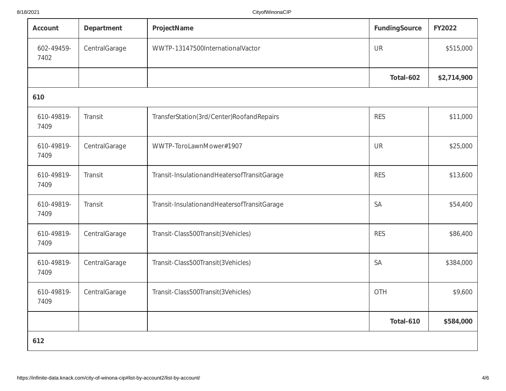| Account            | Department    | ProjectName                                 | FundingSource | <b>FY2022</b> |
|--------------------|---------------|---------------------------------------------|---------------|---------------|
| 602-49459-<br>7402 | CentralGarage | WWTP-13147500InternationalVactor            | UR            | \$515,000     |
|                    |               |                                             | Total-602     | \$2,714,900   |
| 610                |               |                                             |               |               |
| 610-49819-<br>7409 | Transit       | TransferStation(3rd/Center)RoofandRepairs   | <b>RES</b>    | \$11,000      |
| 610-49819-<br>7409 | CentralGarage | WWTP-ToroLawnMower#1907                     | UR            | \$25,000      |
| 610-49819-<br>7409 | Transit       | Transit-InsulationandHeatersofTransitGarage | <b>RES</b>    | \$13,600      |
| 610-49819-<br>7409 | Transit       | Transit-InsulationandHeatersofTransitGarage | <b>SA</b>     | \$54,400      |
| 610-49819-<br>7409 | CentralGarage | Transit-Class500Transit(3Vehicles)          | <b>RES</b>    | \$86,400      |
| 610-49819-<br>7409 | CentralGarage | Transit-Class500Transit(3Vehicles)          | <b>SA</b>     | \$384,000     |
| 610-49819-<br>7409 | CentralGarage | Transit-Class500Transit(3Vehicles)          | OTH           | \$9,600       |
|                    |               |                                             | Total-610     | \$584,000     |
| 612                |               |                                             |               |               |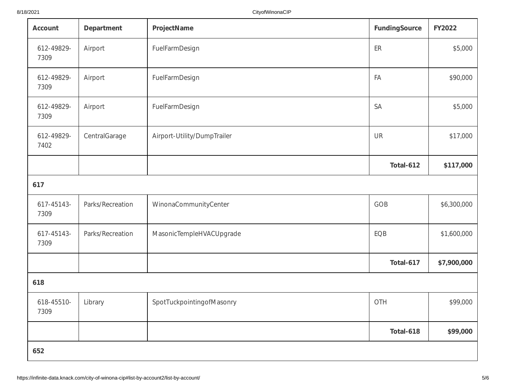| Account            | Department       | ProjectName                 | FundingSource | FY2022      |
|--------------------|------------------|-----------------------------|---------------|-------------|
| 612-49829-<br>7309 | Airport          | FuelFarmDesign              | ER            | \$5,000     |
| 612-49829-<br>7309 | Airport          | FuelFarmDesign              | FA            | \$90,000    |
| 612-49829-<br>7309 | Airport          | FuelFarmDesign              | <b>SA</b>     | \$5,000     |
| 612-49829-<br>7402 | CentralGarage    | Airport-Utility/DumpTrailer | UR            | \$17,000    |
|                    |                  |                             | Total-612     | \$117,000   |
| 617                |                  |                             |               |             |
| 617-45143-<br>7309 | Parks/Recreation | WinonaCommunityCenter       | GOB           | \$6,300,000 |
| 617-45143-<br>7309 | Parks/Recreation | MasonicTempleHVACUpgrade    | EQB           | \$1,600,000 |
|                    |                  |                             | Total-617     | \$7,900,000 |
| 618                |                  |                             |               |             |
| 618-45510-<br>7309 | Library          | SpotTuckpointingofMasonry   | OTH           | \$99,000    |
|                    |                  |                             | Total-618     | \$99,000    |
| 652                |                  |                             |               |             |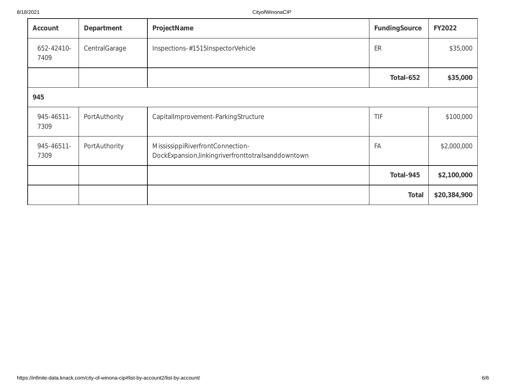| Account            | Department    | ProjectName                                                                                | FundingSource | <b>FY2022</b> |
|--------------------|---------------|--------------------------------------------------------------------------------------------|---------------|---------------|
| 652-42410-<br>7409 | CentralGarage | Inspections-#1515InspectorVehicle                                                          | ER            | \$35,000      |
|                    |               |                                                                                            | Total-652     | \$35,000      |
| 945                |               |                                                                                            |               |               |
| 945-46511-<br>7309 | PortAuthority | CapitalImprovement-ParkingStructure                                                        | TIF           | \$100,000     |
| 945-46511-<br>7309 | PortAuthority | MississippiRiverfrontConnection-<br>DockExpansion, linkingriverfronttotrails and down town | FA            | \$2,000,000   |
|                    |               |                                                                                            | Total-945     | \$2,100,000   |
|                    |               |                                                                                            | <b>Total</b>  | \$20,384,900  |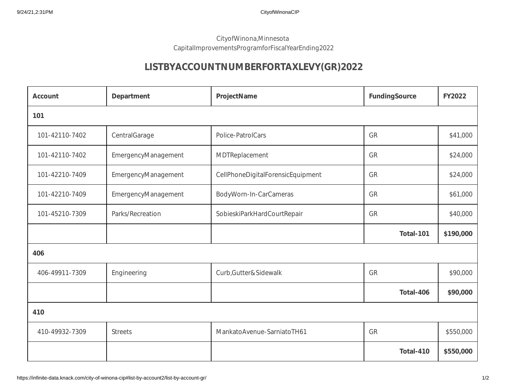## CityofWinona,Minnesota CapitalImprovementsProgramforFiscalYearEnding2022

## **LISTBYACCOUNTNUMBERFORTAXLEVY(GR)2022**

| Account        | Department          | ProjectName                       | FundingSource | <b>FY2022</b> |  |
|----------------|---------------------|-----------------------------------|---------------|---------------|--|
| 101            |                     |                                   |               |               |  |
| 101-42110-7402 | CentralGarage       | Police-PatrolCars                 | GR            | \$41,000      |  |
| 101-42110-7402 | EmergencyManagement | MDTReplacement                    | GR            | \$24,000      |  |
| 101-42210-7409 | EmergencyManagement | CellPhoneDigitalForensicEquipment | GR            | \$24,000      |  |
| 101-42210-7409 | EmergencyManagement | BodyWorn-In-CarCameras            | GR            | \$61,000      |  |
| 101-45210-7309 | Parks/Recreation    | SobieskiParkHardCourtRepair       | GR            | \$40,000      |  |
|                |                     |                                   | Total-101     | \$190,000     |  |
| 406            |                     |                                   |               |               |  |
| 406-49911-7309 | Engineering         | Curb, Gutter & Sidewalk           | GR            | \$90,000      |  |
|                |                     |                                   | Total-406     | \$90,000      |  |
| 410            |                     |                                   |               |               |  |
| 410-49932-7309 | <b>Streets</b>      | MankatoAvenue-SarniatoTH61        | GR            | \$550,000     |  |
|                |                     |                                   | Total-410     | \$550,000     |  |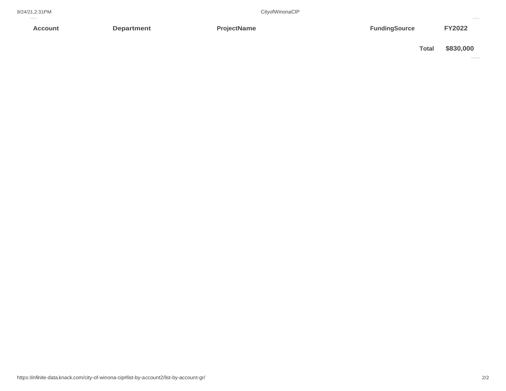**Account**

CityofWinonaClP

**Department FY2022 ProjectName FY2022 FUNDING PROPERTY RESOLUTE** 

**Total \$830,000**  $\frac{1}{\sqrt{1-\frac{1}{2}}}$ 

-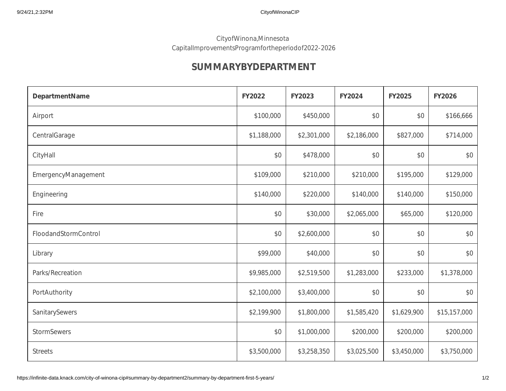### CityofWinona,Minnesota CapitalImprovementsProgramfortheperiodof2022-2026

## **SUMMARYBYDEPARTMENT**

| DepartmentName       | FY2022      | FY2023      | <b>FY2024</b> | <b>FY2025</b> | <b>FY2026</b> |
|----------------------|-------------|-------------|---------------|---------------|---------------|
| Airport              | \$100,000   | \$450,000   | \$0           | \$0           | \$166,666     |
| CentralGarage        | \$1,188,000 | \$2,301,000 | \$2,186,000   | \$827,000     | \$714,000     |
| CityHall             | \$0         | \$478,000   | \$0           | \$0           | \$0           |
| EmergencyManagement  | \$109,000   | \$210,000   | \$210,000     | \$195,000     | \$129,000     |
| Engineering          | \$140,000   | \$220,000   | \$140,000     | \$140,000     | \$150,000     |
| Fire                 | \$0         | \$30,000    | \$2,065,000   | \$65,000      | \$120,000     |
| FloodandStormControl | \$0         | \$2,600,000 | \$0           | \$0           | \$0           |
| Library              | \$99,000    | \$40,000    | \$0           | \$0           | \$0           |
| Parks/Recreation     | \$9,985,000 | \$2,519,500 | \$1,283,000   | \$233,000     | \$1,378,000   |
| PortAuthority        | \$2,100,000 | \$3,400,000 | \$0           | \$0           | \$0           |
| SanitarySewers       | \$2,199,900 | \$1,800,000 | \$1,585,420   | \$1,629,900   | \$15,157,000  |
| <b>StormSewers</b>   | \$0         | \$1,000,000 | \$200,000     | \$200,000     | \$200,000     |
| <b>Streets</b>       | \$3,500,000 | \$3,258,350 | \$3,025,500   | \$3,450,000   | \$3,750,000   |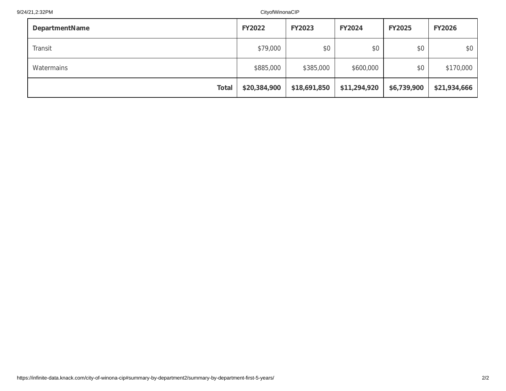| <b>DepartmentName</b> | <b>FY2022</b> | <b>FY2023</b> | <b>FY2024</b> | <b>FY2025</b> | <b>FY2026</b> |
|-----------------------|---------------|---------------|---------------|---------------|---------------|
| Transit               | \$79,000      | \$0           | \$0           | \$0           | \$0           |
| Watermains            | \$885,000     | \$385,000     | \$600,000     | \$0           | \$170,000     |
| <b>Total</b>          | \$20,384,900  | \$18,691,850  | \$11,294,920  | \$6,739,900   | \$21,934,666  |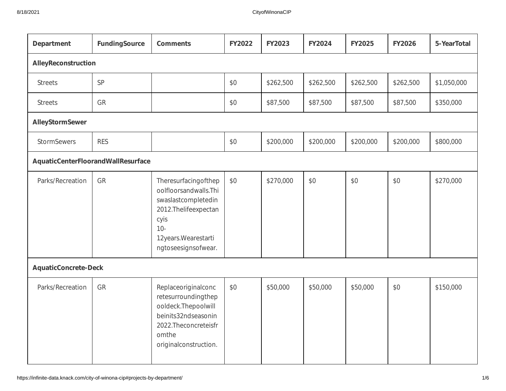| Department                         | <b>FundingSource</b> | <b>Comments</b>                                                                                                                                               | FY2022 | FY2023    | FY2024    | FY2025    | <b>FY2026</b> | 5-YearTotal |
|------------------------------------|----------------------|---------------------------------------------------------------------------------------------------------------------------------------------------------------|--------|-----------|-----------|-----------|---------------|-------------|
|                                    | AlleyReconstruction  |                                                                                                                                                               |        |           |           |           |               |             |
| <b>Streets</b>                     | SP                   |                                                                                                                                                               | \$0    | \$262,500 | \$262,500 | \$262,500 | \$262,500     | \$1,050,000 |
| <b>Streets</b>                     | GR                   |                                                                                                                                                               | \$0    | \$87,500  | \$87,500  | \$87,500  | \$87,500      | \$350,000   |
| AlleyStormSewer                    |                      |                                                                                                                                                               |        |           |           |           |               |             |
| <b>StormSewers</b>                 | <b>RES</b>           |                                                                                                                                                               | \$0    | \$200,000 | \$200,000 | \$200,000 | \$200,000     | \$800,000   |
| AquaticCenterFloorandWallResurface |                      |                                                                                                                                                               |        |           |           |           |               |             |
| Parks/Recreation                   | GR                   | Theresurfacingofthep<br>oolfloorsandwalls.Thi<br>swaslastcompletedin<br>2012.Thelifeexpectan<br>cyis<br>$10 -$<br>12years. Wearestarti<br>ngtoseesignsofwear. | \$0    | \$270,000 | \$0       | \$0       | \$0           | \$270,000   |
| <b>AquaticConcrete-Deck</b>        |                      |                                                                                                                                                               |        |           |           |           |               |             |
| Parks/Recreation                   | GR                   | Replaceoriginalconc<br>retesurroundingthep<br>ooldeck.Thepoolwill<br>beinits32ndseasonin<br>2022.Theconcreteisfr<br>omthe<br>originalconstruction.            | \$0    | \$50,000  | \$50,000  | \$50,000  | \$0           | \$150,000   |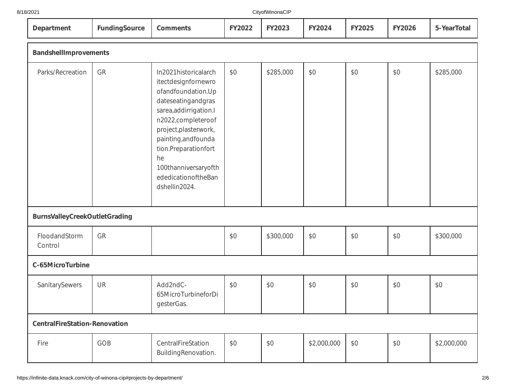| 21 |  |  |
|----|--|--|
|    |  |  |

| 8/18/2021                            |               |                                                                                                                                                                                                                                                                                        |               | CityofWinonaCIP |               |               |               |             |
|--------------------------------------|---------------|----------------------------------------------------------------------------------------------------------------------------------------------------------------------------------------------------------------------------------------------------------------------------------------|---------------|-----------------|---------------|---------------|---------------|-------------|
| Department                           | FundingSource | <b>Comments</b>                                                                                                                                                                                                                                                                        | <b>FY2022</b> | FY2023          | <b>FY2024</b> | <b>FY2025</b> | <b>FY2026</b> | 5-YearTotal |
| <b>BandshellImprovements</b>         |               |                                                                                                                                                                                                                                                                                        |               |                 |               |               |               |             |
| Parks/Recreation                     | GR            | In2021historicalarch<br>itectdesignfornewro<br>ofandfoundation.Up<br>dateseatingandgras<br>sarea, addirrigation.l<br>n2022,completeroof<br>project, plasterwork,<br>painting, and founda<br>tion.Preparationfort<br>he<br>100thanniversaryofth<br>ededicationoftheBan<br>dshellin2024. | \$0           | \$285,000       | \$0           | \$0           | \$0           | \$285,000   |
| <b>BurnsValleyCreekOutletGrading</b> |               |                                                                                                                                                                                                                                                                                        |               |                 |               |               |               |             |
| FloodandStorm<br>Control             | GR            |                                                                                                                                                                                                                                                                                        | \$0           | \$300,000       | \$0           | \$0           | \$0           | \$300,000   |
| C-65MicroTurbine                     |               |                                                                                                                                                                                                                                                                                        |               |                 |               |               |               |             |
| SanitarySewers                       | UR            | Add2ndC-<br>65MicroTurbineforDi<br>gesterGas.                                                                                                                                                                                                                                          | \$0           | \$0             | \$0           | \$0           | \$0           | \$0         |
| <b>CentralFireStation-Renovation</b> |               |                                                                                                                                                                                                                                                                                        |               |                 |               |               |               |             |
| Fire                                 | GOB           | CentralFireStation<br>BuildingRenovation.                                                                                                                                                                                                                                              | \$0           | \$0             | \$2,000,000   | \$0           | \$0           | \$2,000,000 |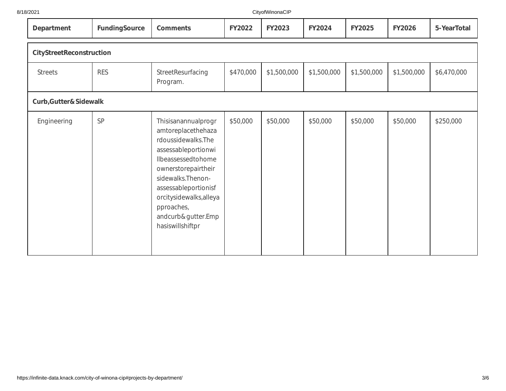#### 8/18/2021

| Department               | FundingSource | <b>Comments</b>                                                                                                                                                                                                                                                       | <b>FY2022</b> | <b>FY2023</b> | <b>FY2024</b> | <b>FY2025</b> | <b>FY2026</b> | 5-YearTotal |
|--------------------------|---------------|-----------------------------------------------------------------------------------------------------------------------------------------------------------------------------------------------------------------------------------------------------------------------|---------------|---------------|---------------|---------------|---------------|-------------|
| CityStreetReconstruction |               |                                                                                                                                                                                                                                                                       |               |               |               |               |               |             |
| <b>Streets</b>           | <b>RES</b>    | StreetResurfacing<br>Program.                                                                                                                                                                                                                                         | \$470,000     | \$1,500,000   | \$1,500,000   | \$1,500,000   | \$1,500,000   | \$6,470,000 |
| Curb, Gutter & Sidewalk  |               |                                                                                                                                                                                                                                                                       |               |               |               |               |               |             |
| Engineering              | SP            | Thisisanannualprogr<br>amtoreplacethehaza<br>rdoussidewalks. The<br>assessableportionwi<br>Ilbeassessedtohome<br>ownerstorepairtheir<br>sidewalks. Thenon-<br>assessableportionisf<br>orcitysidewalks, alleya<br>pproaches,<br>andcurb&gutter.Emp<br>hasiswillshiftpr | \$50,000      | \$50,000      | \$50,000      | \$50,000      | \$50,000      | \$250,000   |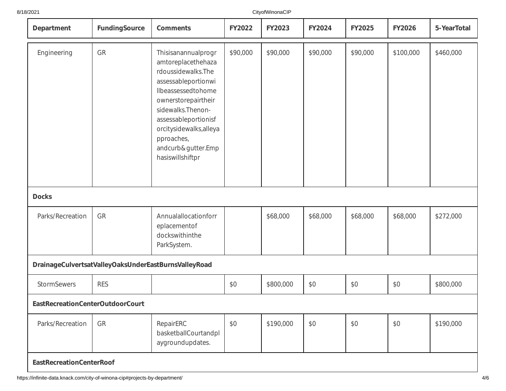| Department                       | FundingSource | <b>Comments</b>                                                                                                                                                                                                                                                      | <b>FY2022</b> | FY2023    | FY2024   | FY2025   | <b>FY2026</b> | 5-YearTotal |
|----------------------------------|---------------|----------------------------------------------------------------------------------------------------------------------------------------------------------------------------------------------------------------------------------------------------------------------|---------------|-----------|----------|----------|---------------|-------------|
| Engineering                      | GR            | Thisisanannualprogr<br>amtoreplacethehaza<br>rdoussidewalks.The<br>assessableportionwi<br>Ilbeassessedtohome<br>ownerstorepairtheir<br>sidewalks. Thenon-<br>assessableportionisf<br>orcitysidewalks, alleya<br>pproaches,<br>andcurb&gutter.Emp<br>hasiswillshiftpr | \$90,000      | \$90,000  | \$90,000 | \$90,000 | \$100,000     | \$460,000   |
| <b>Docks</b>                     |               |                                                                                                                                                                                                                                                                      |               |           |          |          |               |             |
| Parks/Recreation                 | GR            | Annualallocationforr<br>eplacementof<br>dockswithinthe<br>ParkSystem.                                                                                                                                                                                                |               | \$68,000  | \$68,000 | \$68,000 | \$68,000      | \$272,000   |
|                                  |               | DrainageCulvertsatValleyOaksUnderEastBurnsValleyRoad                                                                                                                                                                                                                 |               |           |          |          |               |             |
| <b>StormSewers</b>               | <b>RES</b>    |                                                                                                                                                                                                                                                                      | \$0           | \$800,000 | \$0      | \$0      | \$0           | \$800,000   |
| EastRecreationCenterOutdoorCourt |               |                                                                                                                                                                                                                                                                      |               |           |          |          |               |             |
| Parks/Recreation                 | GR            | RepairERC<br>basketballCourtandpl<br>aygroundupdates.                                                                                                                                                                                                                | \$0           | \$190,000 | \$0      | \$0      | \$0           | \$190,000   |
| <b>EastRecreationCenterRoof</b>  |               |                                                                                                                                                                                                                                                                      |               |           |          |          |               |             |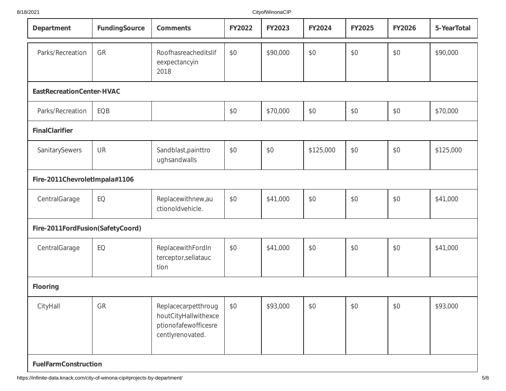| Department                       | <b>FundingSource</b> | <b>Comments</b>                                                                         | <b>FY2022</b> | <b>FY2023</b> | FY2024    | FY2025 | <b>FY2026</b> | 5-YearTotal |
|----------------------------------|----------------------|-----------------------------------------------------------------------------------------|---------------|---------------|-----------|--------|---------------|-------------|
| Parks/Recreation                 | GR                   | Roofhasreacheditslif<br>eexpectancyin<br>2018                                           | \$0           | \$90,000      | \$0       | \$0    | \$0           | \$90,000    |
| EastRecreationCenter-HVAC        |                      |                                                                                         |               |               |           |        |               |             |
| Parks/Recreation                 | EQB                  |                                                                                         | \$0           | \$70,000      | \$0       | \$0    | \$0           | \$70,000    |
| <b>FinalClarifier</b>            |                      |                                                                                         |               |               |           |        |               |             |
| SanitarySewers                   | UR                   | Sandblast, painttro<br>ughsandwalls                                                     | \$0           | \$0           | \$125,000 | \$0    | \$0           | \$125,000   |
| Fire-2011ChevroletImpala#1106    |                      |                                                                                         |               |               |           |        |               |             |
| CentralGarage                    | EQ                   | Replacewithnew, au<br>ctionoldvehicle.                                                  | \$0           | \$41,000      | \$0       | \$0    | \$0           | \$41,000    |
| Fire-2011FordFusion(SafetyCoord) |                      |                                                                                         |               |               |           |        |               |             |
| CentralGarage                    | EQ                   | ReplacewithFordIn<br>terceptor, sellatauc<br>tion                                       | \$0           | \$41,000      | \$0       | \$0    | \$0           | \$41,000    |
| Flooring                         |                      |                                                                                         |               |               |           |        |               |             |
| CityHall                         | GR                   | Replacecarpetthroug<br>houtCityHallwithexce<br>ptionofafewofficesre<br>centlyrenovated. | \$0           | \$93,000      | \$0       | \$0    | \$0           | \$93,000    |
| <b>FuelFarmConstruction</b>      |                      |                                                                                         |               |               |           |        |               |             |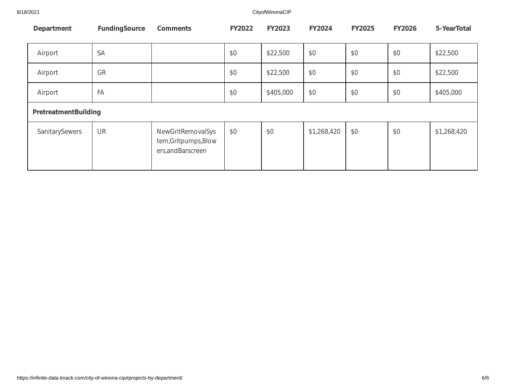8/18/2021 CityofWinonaCIP

| Department           | <b>FundingSource</b> | <b>Comments</b>                                                        | <b>FY2022</b> | <b>FY2023</b> | <b>FY2024</b> | <b>FY2025</b> | <b>FY2026</b> | 5-YearTotal |
|----------------------|----------------------|------------------------------------------------------------------------|---------------|---------------|---------------|---------------|---------------|-------------|
| Airport              | <b>SA</b>            |                                                                        | \$0           | \$22,500      | \$0           | \$0           | \$0           | \$22,500    |
| Airport              | GR                   |                                                                        | \$0           | \$22,500      | \$0           | \$0           | \$0           | \$22,500    |
| Airport              | FA                   |                                                                        | \$0           | \$405,000     | \$0           | \$0           | \$0           | \$405,000   |
| PretreatmentBuilding |                      |                                                                        |               |               |               |               |               |             |
| SanitarySewers       | UR                   | <b>NewGritRemovalSys</b><br>tem, Gritpumps, Blow<br>ers, and Barscreen | \$0           | \$0           | \$1,268,420   | \$0           | \$0           | \$1,268,420 |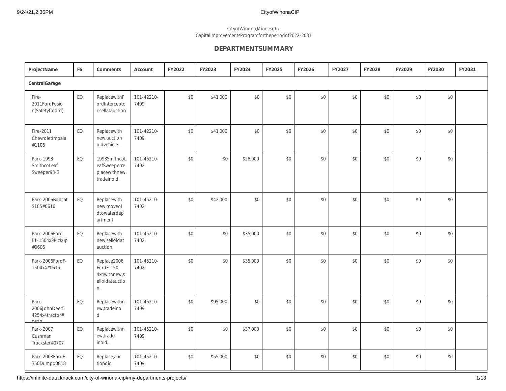#### CityofWinona,Minnesota CapitalImprovementsProgramfortheperiodof2022-2031

### **DEPARTMENTSUMMARY**

| ProjectName                                      | <b>FS</b> | <b>Comments</b>                                                  | Account            | FY2022 | FY2023   | FY2024   | FY2025 | FY2026 | FY2027 | FY2028 | FY2029 | FY2030 | FY2031 |
|--------------------------------------------------|-----------|------------------------------------------------------------------|--------------------|--------|----------|----------|--------|--------|--------|--------|--------|--------|--------|
| CentralGarage                                    |           |                                                                  |                    |        |          |          |        |        |        |        |        |        |        |
| Fire-<br>2011FordFusio<br>n(SafetyCoord)         | EQ        | ReplacewithF<br>ordIntercepto<br>r,sellatauction                 | 101-42210-<br>7409 | \$0    | \$41,000 | \$0      | \$0    | \$0    | \$0    | \$0    | \$0    | \$0    |        |
| Fire-2011<br>ChevroletImpala<br>#1106            | EQ        | Replacewith<br>new,auction<br>oldvehicle.                        | 101-42210-<br>7409 | \$0    | \$41,000 | \$0      | \$0    | \$0    | \$0    | \$0    | \$0    | \$0    |        |
| Park-1993<br>SmithcoLeaf<br>Sweeper93-3          | EQ        | 1993SmithcoL<br>eafSweeperre<br>placewithnew,<br>tradeinold.     | 101-45210-<br>7402 | \$0    | \$0      | \$28,000 | \$0    | \$0    | \$0    | \$0    | \$0    | \$0    |        |
| Park-2006Bobcat<br>S185#0616                     | EQ        | Replacewith<br>new, moveol<br>dtowaterdep<br>artment             | 101-45210-<br>7402 | \$0    | \$42,000 | \$0      | \$0    | $$0$$  | $$0$$  | \$0    | \$0    | \$0    |        |
| Park-2006Ford<br>F1-1504x2Pickup<br>#0606        | EQ        | Replacewith<br>new,selloldat<br>auction.                         | 101-45210-<br>7402 | \$0    | \$0      | \$35,000 | \$0    | \$0    | \$0    | \$0    | \$0    | \$0    |        |
| Park-2006FordF-<br>1504x4#0615                   | EQ        | Replace2006<br>FordF-150<br>4x4withnew,s<br>elloldatauctio<br>n. | 101-45210-<br>7402 | \$0    | \$0      | \$35,000 | \$0    | \$0    | \$0    | \$0    | \$0    | \$0    |        |
| Park-<br>2006JohnDeer5<br>4254x4tractor#<br>0620 | EQ        | Replacewithn<br>ew,tradeinol<br>d                                | 101-45210-<br>7409 | \$0    | \$95,000 | \$0      | \$0    | \$0    | \$0    | \$0    | \$0    | \$0    |        |
| Park-2007<br>Cushman<br>Truckster#0707           | EQ        | Replacewithn<br>ew,trade-<br>inold.                              | 101-45210-<br>7409 | \$0    | \$0      | \$37,000 | \$0    | \$0    | \$0    | \$0    | \$0    | \$0    |        |
| Park-2008FordF-<br>350Dump#0818                  | EQ        | Replace, auc<br>tionold                                          | 101-45210-<br>7409 | \$0    | \$55,000 | \$0      | \$0    | \$0    | \$0    | \$0    | \$0    | \$0    |        |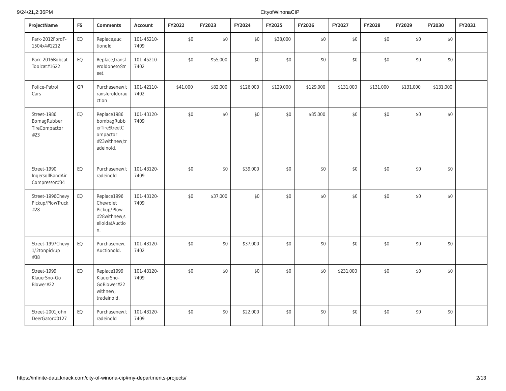| ProjectName                                        | <b>FS</b> | Comments                                                                             | Account            | FY2022   | FY2023   | FY2024    | FY2025    | FY2026    | FY2027    | FY2028    | FY2029    | FY2030    | FY2031 |
|----------------------------------------------------|-----------|--------------------------------------------------------------------------------------|--------------------|----------|----------|-----------|-----------|-----------|-----------|-----------|-----------|-----------|--------|
| Park-2012FordF-<br>1504x4#1212                     | EQ        | Replace, auc<br>tionold                                                              | 101-45210-<br>7409 | \$0      | \$0      | \$0       | \$38,000  | $$0$$     | $$0$$     | \$0       | \$0       | \$0       |        |
| Park-2016Bobcat<br>Toolcat#1622                    | EQ        | Replace, transf<br>eroldonetoStr<br>eet.                                             | 101-45210-<br>7402 | \$0      | \$55,000 | \$0       | \$0       | \$0       | \$0       | \$0       | \$0       | \$0       |        |
| Police-Patrol<br>Cars                              | GR        | Purchasenew,t<br>ransferoldorau<br>ction                                             | 101-42110-<br>7402 | \$41,000 | \$82,000 | \$126,000 | \$129,000 | \$129,000 | \$131,000 | \$131,000 | \$131,000 | \$131,000 |        |
| Street-1986<br>BomagRubber<br>TireCompactor<br>#23 | EQ        | Replace1986<br>bombagRubb<br>erTireStreetC<br>ompactor<br>#23withnew,tr<br>adeinold. | 101-43120-<br>7409 | \$0      | \$0      | \$0       | \$0       | \$85,000  | \$0       | \$0       | \$0       | \$0       |        |
| Street-1990<br>IngersollRandAir<br>Compressor#34   | EQ        | Purchasenew,t<br>radeinold                                                           | 101-43120-<br>7409 | \$0      | \$0      | \$39,000  | \$0       | \$0       | \$0       | \$0       | \$0       | \$0       |        |
| Street-1996Chevy<br>Pickup/PlowTruck<br>#28        | EQ        | Replace1996<br>Chevrolet<br>Pickup/Plow<br>#28withnew,s<br>elloldatAuctio<br>n.      | 101-43120-<br>7409 | \$0      | \$37,000 | \$0       | \$0       | \$0       | \$0       | \$0       | \$0       | $$0$$     |        |
| Street-1997Chevy<br>1/2tonpickup<br>#38            | EQ        | Purchasenew,<br>Auctionold.                                                          | 101-43120-<br>7402 | \$0      | \$0      | \$37,000  | \$0       | \$0       | \$0       | \$0       | \$0       | \$0       |        |
| Street-1999<br>KlauerSno-Go<br>Blower#22           | EQ        | Replace1999<br>KlauerSno-<br>GoBlower#22<br>withnew,<br>tradeinold.                  | 101-43120-<br>7409 | \$0      | \$0      | \$0       | \$0       | \$0       | \$231,000 | \$0       | \$0       | \$0       |        |
| Street-2001John<br>DeerGator#0127                  | EQ        | Purchasenew,t<br>radeinold                                                           | 101-43120-<br>7409 | \$0      | \$0      | \$22,000  | \$0       | \$0       | \$0       | \$0       | \$0       | \$0       |        |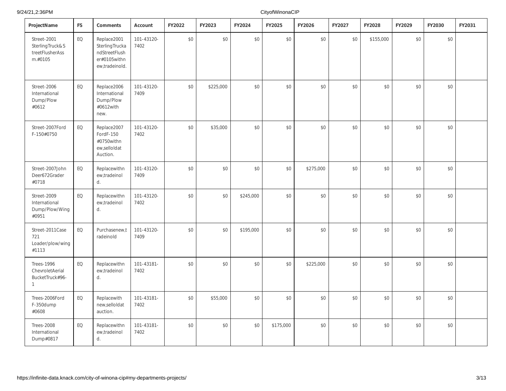| ProjectName                                                               | <b>FS</b> | Comments                                                                         | Account            | FY2022 | FY2023    | FY2024    | FY2025    | FY2026    | FY2027 | FY2028    | FY2029 | FY2030 | FY2031 |
|---------------------------------------------------------------------------|-----------|----------------------------------------------------------------------------------|--------------------|--------|-----------|-----------|-----------|-----------|--------|-----------|--------|--------|--------|
| Street-2001<br>SterlingTruck&S<br>treetFlusherAss<br>m.#0105              | EQ        | Replace2001<br>SterlingTrucka<br>ndStreetFlush<br>er#0105withn<br>ew,tradeinold. | 101-43120-<br>7402 | $$0$   | \$0       | \$0       | \$0       | $\$0$     | \$0    | \$155,000 | \$0    | $$0$$  |        |
| Street-2006<br>International<br>Dump/Plow<br>#0612                        | EQ        | Replace2006<br>International<br>Dump/Plow<br>#0612with<br>new.                   | 101-43120-<br>7409 | \$0    | \$225,000 | \$0       | \$0       | \$0       | \$0    | \$0       | \$0    | \$0    |        |
| Street-2007Ford<br>F-150#0750                                             | EQ        | Replace2007<br>FordF-150<br>#0750withn<br>ew,selloldat<br>Auction.               | 101-43120-<br>7402 | \$0    | \$35,000  | \$0       | \$0       | \$0       | \$0    | \$0       | \$0    | \$0    |        |
| Street-2007John<br>Deer672Grader<br>#0718                                 | EQ        | Replacewithn<br>ew,tradeinol<br>d.                                               | 101-43120-<br>7409 | \$0    | \$0       | \$0       | \$0       | \$275,000 | \$0    | \$0       | \$0    | \$0    |        |
| Street-2009<br>International<br>Dump/Plow/Wing<br>#0951                   | EQ        | Replacewithn<br>ew,tradeinol<br>d.                                               | 101-43120-<br>7402 | \$0    | \$0       | \$245,000 | \$0       | \$0       | \$0    | \$0       | \$0    | \$0    |        |
| Street-2011Case<br>721<br>Loader/plow/wing<br>#1113                       | EQ        | Purchasenew,t<br>radeinold                                                       | 101-43120-<br>7409 | \$0    | \$0       | \$195,000 | \$0       | \$0       | \$0    | \$0       | \$0    | \$0    |        |
| <b>Trees-1996</b><br>ChevroletAerial<br>BucketTruck#96-<br>$\overline{1}$ | EQ        | Replacewithn<br>ew,tradeinol<br>d.                                               | 101-43181-<br>7402 | \$0    | \$0       | \$0       | \$0       | \$225,000 | \$0    | \$0       | \$0    | \$0    |        |
| Trees-2006Ford<br>F-350dump<br>#0608                                      | EQ        | Replacewith<br>new,selloldat<br>auction.                                         | 101-43181-<br>7402 | \$0    | \$55,000  | \$0       | \$0       | \$0       | \$0    | \$0       | \$0    | \$0    |        |
| <b>Trees-2008</b><br>International<br>Dump#0817                           | EQ        | Replacewithn<br>ew,tradeinol<br>d.                                               | 101-43181-<br>7402 | \$0    | \$0       | \$0       | \$175,000 | \$0       | \$0    | \$0       | \$0    | \$0    |        |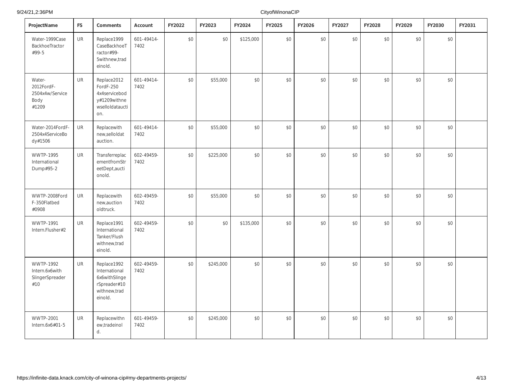9/24/21,2:36PM

| ProjectName                                              | <b>FS</b> | Comments                                                                                  | Account            | FY2022 | FY2023    | FY2024    | FY2025 | FY2026 | FY2027 | FY2028 | FY2029 | FY2030 | FY2031 |
|----------------------------------------------------------|-----------|-------------------------------------------------------------------------------------------|--------------------|--------|-----------|-----------|--------|--------|--------|--------|--------|--------|--------|
| Water-1999Case<br>BackhoeTractor<br>#99-5                | <b>UR</b> | Replace1999<br>CaseBackhoeT<br>ractor#99-<br>5withnew, trad<br>einold.                    | 601-49414-<br>7402 | $$0$   | \$0       | \$125,000 | $$0$$  | $\$0$  | $$0$$  | \$0    | \$0    | $$0$$  |        |
| Water-<br>2012FordF-<br>2504x4w/Service<br>Body<br>#1209 | <b>UR</b> | Replace2012<br>FordF-250<br>4x4servicebod<br>y#1209withne<br>wselloldataucti<br>on.       | 601-49414-<br>7402 | \$0    | \$55,000  | \$0       | \$0    | $$0$$  | $$0$$  | \$0    | \$0    | \$0    |        |
| Water-2014FordF-<br>2504x4ServiceBo<br>dy#1506           | <b>UR</b> | Replacewith<br>new,selloldat<br>auction.                                                  | 601-49414-<br>7402 | \$0    | \$55,000  | \$0       | \$0    | $$0$$  | \$0    | \$0    | \$0    | \$0    |        |
| <b>WWTP-1995</b><br>International<br>Dump#95-2           | <b>UR</b> | Transferreplac<br>ementfromStr<br>eetDept,aucti<br>onold.                                 | 602-49459-<br>7402 | \$0    | \$225,000 | \$0       | \$0    | \$0    | \$0    | \$0    | \$0    | \$0    |        |
| WWTP-2008Ford<br>F-350Flatbed<br>#0908                   | UR        | Replacewith<br>new,auction<br>oldtruck.                                                   | 602-49459-<br>7402 | \$0    | \$55,000  | $$0$$     | \$0    | \$0    | $$0$$  | \$0    | $$0$$  | $$0$   |        |
| <b>WWTP-1991</b><br>Intern.Flusher#2                     | <b>UR</b> | Replace1991<br>International<br>Tanker/Flush<br>withnew, trad<br>einold.                  | 602-49459-<br>7402 | \$0    | \$0       | \$135,000 | \$0    | \$0    | \$0    | \$0    | \$0    | \$0    |        |
| WWTP-1992<br>Intern.6x6with<br>SlingerSpreader<br>#10    | UR        | Replace1992<br>International<br>6x6withSlinge<br>rSpreader#10<br>withnew, trad<br>einold. | 602-49459-<br>7402 | \$0    | \$245,000 | \$0       | \$0    | \$0    | \$0    | \$0    | \$0    | \$0    |        |
| <b>WWTP-2001</b><br>Intern.6x6#01-5                      | UR        | Replacewithn<br>ew,tradeinol<br>d.                                                        | 601-49459-<br>7402 | \$0    | \$245,000 | \$0       | \$0    | \$0    | \$0    | \$0    | \$0    | \$0    |        |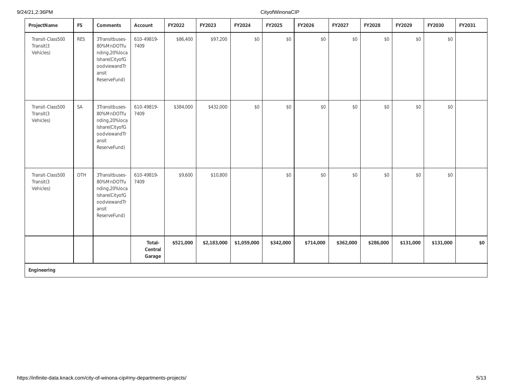| ProjectName                                | <b>FS</b>  | Comments                                                                                                 | Account                     | FY2022    | FY2023      | FY2024      | FY2025    | FY2026    | FY2027    | FY2028    | FY2029    | FY2030    | FY2031 |
|--------------------------------------------|------------|----------------------------------------------------------------------------------------------------------|-----------------------------|-----------|-------------|-------------|-----------|-----------|-----------|-----------|-----------|-----------|--------|
| Transit-Class500<br>Transit(3<br>Vehicles) | <b>RES</b> | 3Transitbuses-<br>80%MnDOTfu<br>nding,20%loca<br>Ishare(CityofG<br>oodviewandTr<br>ansit<br>ReserveFund) | 610-49819-<br>7409          | \$86,400  | \$97,200    | \$0         | \$0       | \$0       | \$0       | \$0       | \$0       | \$0       |        |
| Transit-Class500<br>Transit(3<br>Vehicles) | SA         | 3Transitbuses-<br>80%MnDOTfu<br>nding,20%loca<br>Ishare(CityofG<br>oodviewandTr<br>ansit<br>ReserveFund) | 610-49819-<br>7409          | \$384,000 | \$432,000   | \$0         | \$0       | \$0       | $$0$$     | \$0       | \$0       | \$0       |        |
| Transit-Class500<br>Transit(3<br>Vehicles) | OTH        | 3Transitbuses-<br>80%MnDOTfu<br>nding,20%loca<br>Ishare(CityofG<br>oodviewandTr<br>ansit<br>ReserveFund) | 610-49819-<br>7409          | \$9,600   | \$10,800    |             | \$0       | \$0       | \$0       | \$0       | \$0       | \$0       |        |
|                                            |            |                                                                                                          | Total-<br>Central<br>Garage | \$521,000 | \$2,183,000 | \$1,059,000 | \$342,000 | \$714,000 | \$362,000 | \$286,000 | \$131,000 | \$131,000 | \$0    |
| Engineering                                |            |                                                                                                          |                             |           |             |             |           |           |           |           |           |           |        |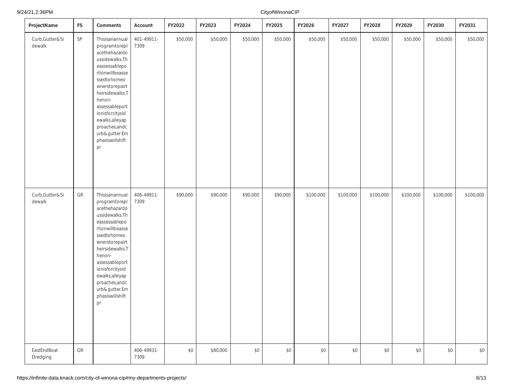| ProjectName                 | <b>FS</b>     | Comments                                                                                                                                                                                                                                                                                 | Account            | FY2022   | FY2023   | FY2024   | FY2025   | FY2026    | FY2027    | FY2028    | FY2029    | FY2030    | FY2031    |
|-----------------------------|---------------|------------------------------------------------------------------------------------------------------------------------------------------------------------------------------------------------------------------------------------------------------------------------------------------|--------------------|----------|----------|----------|----------|-----------|-----------|-----------|-----------|-----------|-----------|
| Curb, Gutter & Si<br>dewalk | $\mathsf{SP}$ | Thisisanannual<br>programtorepl<br>acethehazardo<br>ussidewalks.Th<br>eassessablepo<br>rtionwillbeasse<br>ssedtohomeo<br>wnerstorepairt<br>heirsidewalks.T<br>henon-<br>assessableport<br>ionisforcitysid<br>ewalks, alleyap<br>proaches, andc<br>urb&gutter.Em<br>phasiswillshift<br>pr | 401-49911-<br>7309 | \$50,000 | \$50,000 | \$50,000 | \$50,000 | \$50,000  | \$50,000  | \$50,000  | \$50,000  | \$50,000  | \$50,000  |
| Curb, Gutter & Si<br>dewalk | ${\sf GR}$    | Thisisanannual<br>programtorepl<br>acethehazardo<br>ussidewalks.Th<br>eassessablepo<br>rtionwillbeasse<br>ssedtohomeo<br>wnerstorepairt<br>heirsidewalks.T<br>henon-<br>assessableport<br>ionisforcitysid<br>ewalks, alleyap<br>proaches, andc<br>urb&gutter.Em<br>phasiswillshift<br>pr | 406-49911-<br>7309 | \$90,000 | \$90,000 | \$90,000 | \$90,000 | \$100,000 | \$100,000 | \$100,000 | \$100,000 | \$100,000 | \$100,000 |
| EastEndBoat<br>Dredging     | ${\sf GR}$    |                                                                                                                                                                                                                                                                                          | 406-49931-<br>7309 | \$0      | \$80,000 | \$0      | $\$0$    | $$0$$     | \$0       | $$0$$     | \$0       | $$0$$     | \$0       |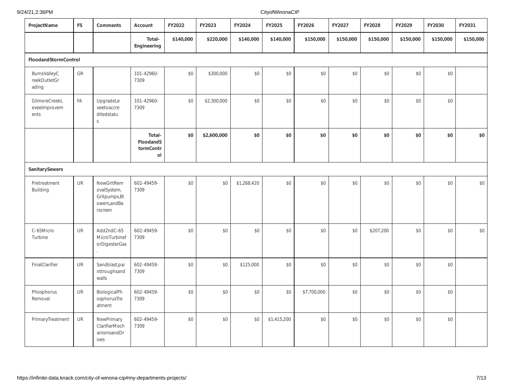#### 9/24/21,2:36PM

| ProjectName                                  | <b>FS</b> | Comments                                                               | Account                                | FY2022    | FY2023      | FY2024      | FY2025      | FY2026      | FY2027    | FY2028    | FY2029    | FY2030    | FY2031    |
|----------------------------------------------|-----------|------------------------------------------------------------------------|----------------------------------------|-----------|-------------|-------------|-------------|-------------|-----------|-----------|-----------|-----------|-----------|
|                                              |           |                                                                        | Total-<br>Engineering                  | \$140,000 | \$220,000   | \$140,000   | \$140,000   | \$150,000   | \$150,000 | \$150,000 | \$150,000 | \$150,000 | \$150,000 |
| FloodandStormControl                         |           |                                                                        |                                        |           |             |             |             |             |           |           |           |           |           |
| <b>BurnsValleyC</b><br>reekOutletGr<br>ading | GR        |                                                                        | 101-42960-<br>7309                     | \$0       | \$300,000   | \$0         | \$0         | \$0         | \$0       | \$0       | \$0       | \$0       |           |
| GilmoreCreekL<br>eveelmprovem<br>ents        | FA        | UpgradeLe<br>veetoaccre<br>ditedstatu<br>$\mathsf S$                   | 101-42960-<br>7309                     | \$0       | \$2,300,000 | \$0         | \$0         | $$0$$       | \$0       | \$0       | \$0       | \$0       |           |
|                                              |           |                                                                        | Total-<br>FloodandS<br>tormContr<br>ol | \$0       | \$2,600,000 | \$0         | \$0         | \$0         | \$0       | \$0       | \$0       | \$0       | \$0       |
| SanitarySewers                               |           |                                                                        |                                        |           |             |             |             |             |           |           |           |           |           |
| Pretreatment<br><b>Building</b>              | UR        | NewGritRem<br>ovalSystem,<br>Gritpumps, BI<br>owers, and Ba<br>rscreen | 602-49459-<br>7309                     | \$0       | \$0         | \$1,268,420 | $\$0$       | \$0         | \$0       | $$0$$     | $$0$$     | \$0       | \$0       |
| C-65Micro<br>Turbine                         | UR        | Add2ndC-65<br>MicroTurbinef<br>orDigesterGas                           | 602-49459-<br>7309                     | \$0       | \$0         | \$0         | \$0         | \$0         | \$0       | \$207,200 | \$0       | \$0       | \$0       |
| FinalClarifier                               | UR        | Sandblast, pai<br>nttroughsand<br>walls                                | 602-49459-<br>7309                     | \$0       | \$0         | \$125,000   | \$0         | \$0         | \$0       | \$0       | \$0       | \$0       |           |
| Phosphorus<br>Removal                        | UR        | BiologicalPh<br>osphorusTre<br>atment                                  | 602-49459-<br>7309                     | \$0       | \$0         | \$0         | \$0         | \$7,700,000 | \$0       | $$0$$     | \$0       | \$0       |           |
| PrimaryTreatment                             | UR        | NewPrimary<br>ClarifierMech<br>anismsandDr<br>ives                     | 602-49459-<br>7309                     | \$0       | \$0         | \$0         | \$1,415,200 | \$0         | $\$0$     | \$0       | \$0       | \$0       |           |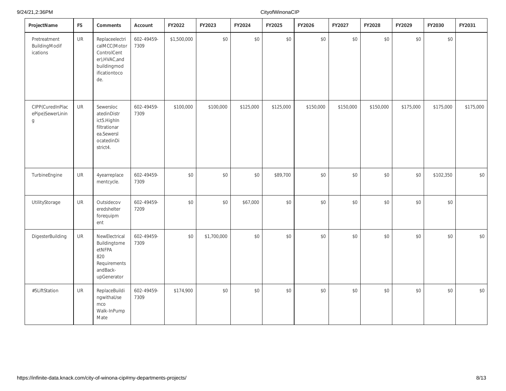9/24/21,2:36PM

| ProjectName                               | <b>FS</b> | Comments                                                                                               | Account            | FY2022      | FY2023      | FY2024    | FY2025    | FY2026    | FY2027    | FY2028    | FY2029    | FY2030    | FY2031    |
|-------------------------------------------|-----------|--------------------------------------------------------------------------------------------------------|--------------------|-------------|-------------|-----------|-----------|-----------|-----------|-----------|-----------|-----------|-----------|
| Pretreatment<br>BuildingModif<br>ications | UR        | Replaceelectri<br>calMCC(Motor<br>ControlCent<br>er), HVAC, and<br>buildingmod<br>ificationtoco<br>de. | 602-49459-<br>7309 | \$1,500,000 | \$0         | \$0       | $$0$$     | $$0$$     | \$0       | $$0$      | \$0       | $$0$$     |           |
| CIPP(CuredInPlac<br>ePipe)SewerLinin<br>g | UR        | Sewersloc<br>atedinDistr<br>ict5.HighIn<br>filtrationar<br>ea.Sewersl<br>ocatedinDi<br>strict4.        | 602-49459-<br>7309 | \$100,000   | \$100,000   | \$125,000 | \$125,000 | \$150,000 | \$150,000 | \$150,000 | \$175,000 | \$175,000 | \$175,000 |
| TurbineEngine                             | UR        | 4yearreplace<br>mentcycle.                                                                             | 602-49459-<br>7309 | \$0         | \$0         | \$0       | \$89,700  | $$0$$     | \$0       | $$0$      | \$0       | \$102,350 | \$0       |
| UtilityStorage                            | <b>UR</b> | Outsidecov<br>eredshelter<br>forequipm<br>ent                                                          | 602-49459-<br>7209 | \$0         | \$0         | \$67,000  | \$0       | \$0       | \$0       | \$0       | \$0       | \$0       |           |
| DigesterBuilding                          | <b>UR</b> | NewElectrical<br>Buildingtome<br>etNFPA<br>820<br>Requirements<br>andBack-<br>upGenerator              | 602-49459-<br>7309 | \$0         | \$1,700,000 | \$0       | \$0       | \$0       | \$0       | \$0       | \$0       | \$0       | \$0       |
| #5LiftStation                             | <b>UR</b> | ReplaceBuildi<br>ngwithaUse<br>mco<br>Walk-InPump<br>Mate                                              | 602-49459-<br>7309 | \$174,900   | \$0         | \$0       | \$0       | $$0$$     | \$0       | \$0       | \$0       | \$0       | \$0       |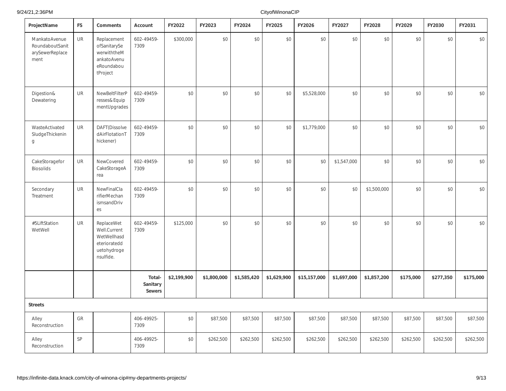9/24/21,2:36PM

| ProjectName                                                 | <b>FS</b>     | Comments                                                                              | Account                             | FY2022      | FY2023      | FY2024      | FY2025      | FY2026       | FY2027      | FY2028      | FY2029    | FY2030    | FY2031    |
|-------------------------------------------------------------|---------------|---------------------------------------------------------------------------------------|-------------------------------------|-------------|-------------|-------------|-------------|--------------|-------------|-------------|-----------|-----------|-----------|
| MankatoAvenue<br>RoundaboutSanit<br>arySewerReplace<br>ment | <b>UR</b>     | Replacement<br>ofSanitarySe<br>werwiththeM<br>ankatoAvenu<br>eRoundabou<br>tProject   | 602-49459-<br>7309                  | \$300,000   | \$0         | \$0         | $$0$$       | \$0          | \$0         | \$0         | \$0       | \$0       | \$0       |
| Digestion&<br>Dewatering                                    | <b>UR</b>     | NewBeltFilterP<br>resses&Equip<br>mentUpgrades                                        | 602-49459-<br>7309                  | \$0         | \$0         | \$0         | \$0         | \$5,528,000  | \$0         | \$0         | \$0       | \$0       | \$0       |
| WasteActivated<br>SludgeThickenin<br>g                      | <b>UR</b>     | DAFT(Dissolve<br>dAirFlotationT<br>hickener)                                          | 602-49459-<br>7309                  | \$0         | \$0         | \$0         | \$0         | \$1,779,000  | \$0         | \$0         | \$0       | \$0       | $$0$$     |
| CakeStoragefor<br><b>Biosolids</b>                          | <b>UR</b>     | NewCovered<br>CakeStorageA<br>rea                                                     | 602-49459-<br>7309                  | \$0         | \$0         | \$0         | $$0$$       | \$0          | \$1,547,000 | \$0         | \$0       | \$0       | $$0$$     |
| Secondary<br>Treatment                                      | <b>UR</b>     | NewFinalCla<br>rifierMechan<br>ismsandDriv<br>es                                      | 602-49459-<br>7309                  | \$0         | \$0         | \$0         | \$0         | \$0          | \$0         | \$1,500,000 | \$0       | \$0       | $$0$$     |
| #5LiftStation<br>WetWell                                    | UR            | ReplaceWet<br>Well.Current<br>WetWellhasd<br>eterioratedd<br>uetohydroge<br>nsulfide. | 602-49459-<br>7309                  | \$125,000   | \$0         | \$0         | $$0$$       | \$0          | \$0         | \$0         | \$0       | \$0       | $$0$$     |
|                                                             |               |                                                                                       | Total-<br>Sanitary<br><b>Sewers</b> | \$2,199,900 | \$1,800,000 | \$1,585,420 | \$1,629,900 | \$15,157,000 | \$1,697,000 | \$1,857,200 | \$175,000 | \$277,350 | \$175,000 |
| <b>Streets</b>                                              |               |                                                                                       |                                     |             |             |             |             |              |             |             |           |           |           |
| Alley<br>Reconstruction                                     | GR            |                                                                                       | 406-49925-<br>7309                  | \$0         | \$87,500    | \$87,500    | \$87,500    | \$87,500     | \$87,500    | \$87,500    | \$87,500  | \$87,500  | \$87,500  |
| Alley<br>Reconstruction                                     | $\mathsf{SP}$ |                                                                                       | 406-49925-<br>7309                  | \$0         | \$262,500   | \$262,500   | \$262,500   | \$262,500    | \$262,500   | \$262,500   | \$262,500 | \$262,500 | \$262,500 |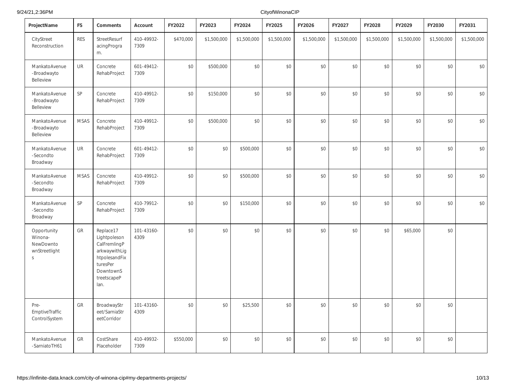| ProjectName                                               | <b>FS</b>   | Comments                                                                                                                    | Account            | FY2022    | FY2023      | FY2024      | FY2025      | FY2026      | FY2027      | FY2028      | FY2029      | FY2030      | FY2031      |
|-----------------------------------------------------------|-------------|-----------------------------------------------------------------------------------------------------------------------------|--------------------|-----------|-------------|-------------|-------------|-------------|-------------|-------------|-------------|-------------|-------------|
| CityStreet<br>Reconstruction                              | <b>RES</b>  | StreetResurf<br>acingProgra<br>m.                                                                                           | 410-49932-<br>7309 | \$470,000 | \$1,500,000 | \$1,500,000 | \$1,500,000 | \$1,500,000 | \$1,500,000 | \$1,500,000 | \$1,500,000 | \$1,500,000 | \$1,500,000 |
| MankatoAvenue<br>-Broadwayto<br>Belleview                 | <b>UR</b>   | Concrete<br>RehabProject                                                                                                    | 601-49412-<br>7309 | \$0       | \$500,000   | \$0         | \$0         | \$0         | \$0         | \$0         | \$0         | \$0         | \$0         |
| MankatoAvenue<br>-Broadwayto<br>Belleview                 | SP          | Concrete<br>RehabProject                                                                                                    | 410-49912-<br>7309 | \$0       | \$150,000   | \$0         | \$0         | \$0         | \$0         | \$0         | \$0         | \$0         | $$0$$       |
| MankatoAvenue<br>-Broadwayto<br>Belleview                 | <b>MSAS</b> | Concrete<br>RehabProject                                                                                                    | 410-49912-<br>7309 | \$0       | \$500,000   | \$0         | \$0         | \$0         | \$0         | \$0         | \$0         | \$0         | $$0$$       |
| MankatoAvenue<br>-Secondto<br>Broadway                    | UR          | Concrete<br>RehabProject                                                                                                    | 601-49412-<br>7309 | \$0       | \$0         | \$500,000   | \$0         | \$0         | \$0         | \$0         | \$0         | \$0         | $$0$$       |
| MankatoAvenue<br>-Secondto<br>Broadway                    | <b>MSAS</b> | Concrete<br>RehabProject                                                                                                    | 410-49912-<br>7309 | \$0       | \$0         | \$500,000   | \$0         | \$0         | \$0         | \$0         | \$0         | \$0         | $$0$$       |
| MankatoAvenue<br>-Secondto<br>Broadway                    | SP          | Concrete<br>RehabProject                                                                                                    | 410-79912-<br>7309 | \$0       | \$0         | \$150,000   | \$0         | \$0         | \$0         | \$0         | \$0         | \$0         | $$0$$       |
| Opportunity<br>Winona-<br>NewDownto<br>wnStreetlight<br>S | GR          | Replace17<br>Lightpoleson<br>CalFremlingP<br>arkwaywithLig<br>htpolesandFix<br>turesPer<br>DowntownS<br>treetscapeP<br>lan. | 101-43160-<br>4309 | \$0       | \$0         | \$0         | \$0         | $\$0$       | \$0         | \$0         | \$65,000    | \$0         |             |
| Pre-<br>EmptiveTraffic<br>ControlSystem                   | GR          | BroadwayStr<br>eet/SarniaStr<br>eetCorridor                                                                                 | 101-43160-<br>4309 | \$0       | \$0         | \$25,500    | \$0         | \$0         | \$0         | \$0         | \$0         | \$0         |             |
| MankatoAvenue<br>-SarniatoTH61                            | GR          | CostShare<br>Placeholder                                                                                                    | 410-49932-<br>7309 | \$550,000 | \$0         | \$0         | \$0         | $$0$$       | \$0         | \$0         | \$0         | \$0         |             |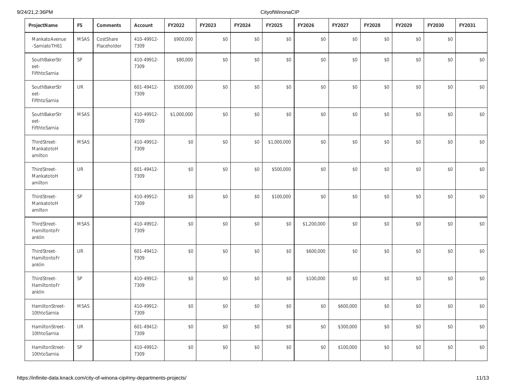| ProjectName                            | <b>FS</b>                  | Comments                 | Account            | FY2022      | FY2023 | FY2024 | FY2025      | FY2026      | FY2027    | FY2028 | FY2029 | FY2030 | FY2031 |
|----------------------------------------|----------------------------|--------------------------|--------------------|-------------|--------|--------|-------------|-------------|-----------|--------|--------|--------|--------|
| MankatoAvenue<br>-SarniatoTH61         | <b>MSAS</b>                | CostShare<br>Placeholder | 410-49912-<br>7309 | \$900,000   | \$0    | \$0    | \$0         | \$0         | \$0       | \$0    | \$0    | \$0    |        |
| SouthBakerStr<br>eet-<br>FifthtoSarnia | SP                         |                          | 410-49912-<br>7309 | \$80,000    | \$0    | \$0    | \$0         | $$0$        | \$0       | \$0    | \$0    | \$0    | \$0    |
| SouthBakerStr<br>eet-<br>FifthtoSarnia | $\mathsf{UR}$              |                          | 601-49412-<br>7309 | \$500,000   | \$0    | \$0    | \$0         | $$0$        | \$0       | \$0    | \$0    | \$0    | \$0    |
| SouthBakerStr<br>eet-<br>FifthtoSarnia | <b>MSAS</b>                |                          | 410-49912-<br>7309 | \$1,000,000 | \$0    | \$0    | \$0         | $$0$        | \$0       | \$0    | \$0    | \$0    | $$0$$  |
| ThirdStreet-<br>MankatotoH<br>amilton  | <b>MSAS</b>                |                          | 410-49912-<br>7309 | \$0         | \$0    | \$0    | \$1,000,000 | $$0$        | \$0       | \$0    | \$0    | \$0    | \$0    |
| ThirdStreet-<br>MankatotoH<br>amilton  | <b>UR</b>                  |                          | 601-49412-<br>7309 | \$0         | \$0    | \$0    | \$500,000   | $$0$        | \$0       | \$0    | \$0    | \$0    | \$0    |
| ThirdStreet-<br>MankatotoH<br>amilton  | $\ensuremath{\mathsf{SP}}$ |                          | 410-49912-<br>7309 | \$0         | \$0    | \$0    | \$100,000   | \$0         | \$0       | \$0    | \$0    | \$0    | \$0    |
| ThirdStreet-<br>HamiltontoFr<br>anklin | <b>MSAS</b>                |                          | 410-49912-<br>7309 | \$0         | \$0    | \$0    | \$0         | \$1,200,000 | \$0       | \$0    | \$0    | \$0    | \$0    |
| ThirdStreet-<br>HamiltontoFr<br>anklin | <b>UR</b>                  |                          | 601-49412-<br>7309 | \$0         | \$0    | \$0    | \$0         | \$600,000   | \$0       | \$0    | \$0    | \$0    | \$0    |
| ThirdStreet-<br>HamiltontoFr<br>anklin | SP                         |                          | 410-49912-<br>7309 | \$0         | \$0    | \$0    | \$0         | \$100,000   | \$0       | \$0    | \$0    | \$0    | \$0    |
| HamiltonStreet-<br>10thtoSarnia        | MSAS                       |                          | 410-49912-<br>7309 | \$0         | \$0    | \$0    | \$0         | \$0         | \$600,000 | \$0    | \$0    | \$0    | \$0    |
| HamiltonStreet-<br>10thtoSarnia        | UR                         |                          | 601-49412-<br>7309 | \$0         | \$0    | \$0    | $\$0$       | \$0         | \$300,000 | \$0    | \$0    | \$0    | \$0    |
| HamiltonStreet-<br>10thtoSarnia        | SP                         |                          | 410-49912-<br>7309 | \$0         | \$0    | \$0    | \$0         | \$0         | \$100,000 | \$0    | \$0    | \$0    | \$0    |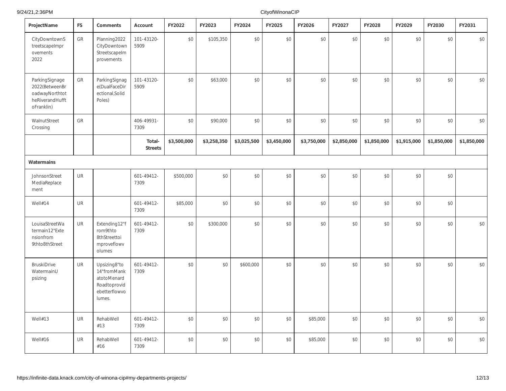| ProjectName                                                                         | <b>FS</b> | Comments                                                                              | Account                  | FY2022      | FY2023      | FY2024      | FY2025      | FY2026      | FY2027      | FY2028      | FY2029      | FY2030      | FY2031      |
|-------------------------------------------------------------------------------------|-----------|---------------------------------------------------------------------------------------|--------------------------|-------------|-------------|-------------|-------------|-------------|-------------|-------------|-------------|-------------|-------------|
| CityDowntownS<br>treetscapeImpr<br>ovements<br>2022                                 | GR        | Planning2022<br>CityDowntown<br>Streetscapelm<br>provements                           | 101-43120-<br>5909       | \$0         | \$105,350   | \$0         | \$0         | \$0         | \$0         | \$0         | \$0         | \$0         | \$0         |
| ParkingSignage<br>2022(BetweenBr<br>oadwayNorthtot<br>heRiverandHufft<br>oFranklin) | GR        | ParkingSignag<br>e(DualFaceDir<br>ectional, Solid<br>Poles)                           | 101-43120-<br>5909       | \$0         | \$63,000    | \$0         | \$0         | \$0         | \$0         | \$0         | \$0         | \$0         | \$0         |
| WalnutStreet<br>Crossing                                                            | GR        |                                                                                       | 406-49931-<br>7309       | \$0         | \$90,000    | \$0         | \$0         | \$0         | \$0         | \$0         | \$0         | \$0         | $$0$$       |
|                                                                                     |           |                                                                                       | Total-<br><b>Streets</b> | \$3,500,000 | \$3,258,350 | \$3,025,500 | \$3,450,000 | \$3,750,000 | \$2,850,000 | \$1,850,000 | \$1,915,000 | \$1,850,000 | \$1,850,000 |
| Watermains                                                                          |           |                                                                                       |                          |             |             |             |             |             |             |             |             |             |             |
| JohnsonStreet<br>MediaReplace<br>ment                                               | UR        |                                                                                       | 601-49412-<br>7309       | \$500,000   | \$0         | \$0         | $$0$$       | $$0$$       | $$0$$       | \$0         | \$0         | \$0         |             |
| Well#14                                                                             | <b>UR</b> |                                                                                       | 601-49412-<br>7309       | \$85,000    | \$0         | \$0         | \$0         | \$0         | \$0         | \$0         | \$0         | \$0         |             |
| LouisaStreetWa<br>termain12"Exte<br>nsionfrom<br>9thto8thStreet                     | <b>UR</b> | Extending12"f<br>rom9thto<br>8thStreettoi<br>mproveflowv<br>olumes                    | 601-49412-<br>7309       | \$0         | \$300,000   | \$0         | \$0         | \$0         | \$0         | \$0         | \$0         | \$0         | $$0$$       |
| <b>BruskiDrive</b><br>WatermainU<br>psizing                                         | <b>UR</b> | Upsizing8"to<br>14"fromMank<br>atotoMenard<br>Roadtoprovid<br>ebetterflowvo<br>lumes. | 601-49412-<br>7309       | \$0         | \$0         | \$600,000   | \$0         | \$0         | \$0         | \$0         | \$0         | \$0         | $$0$$       |
| Well#13                                                                             | <b>UR</b> | RehabWell<br>#13                                                                      | 601-49412-<br>7309       | \$0         | \$0         | \$0         | \$0         | \$85,000    | \$0         | \$0         | \$0         | \$0         | \$0         |
| Well#16                                                                             | <b>UR</b> | RehabWell<br>#16                                                                      | 601-49412-<br>7309       | \$0         | $$0$$       | \$0         | \$0         | \$85,000    | \$0         | \$0         | \$0         | \$0         | \$0         |